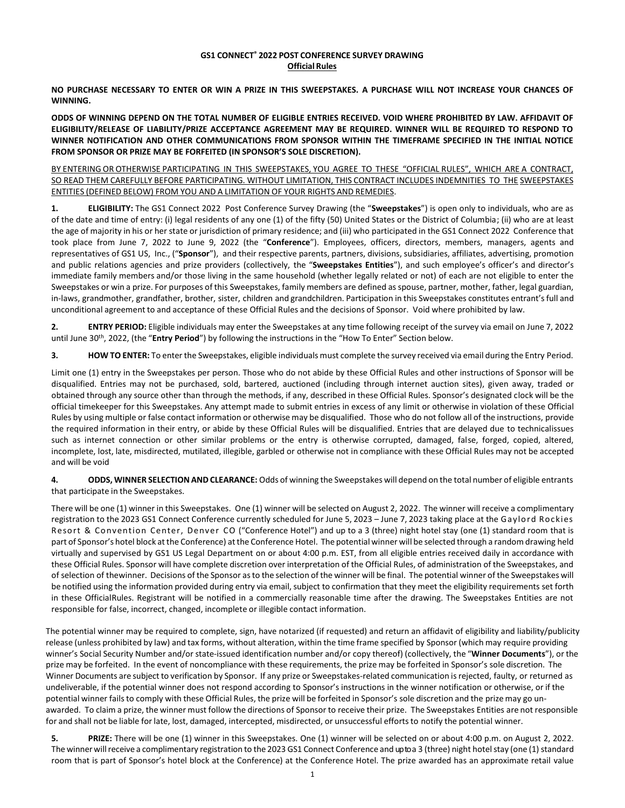## **GS1 CONNECT® 2022 POST CONFERENCE SURVEY DRAWING Official Rules**

**NO PURCHASE NECESSARY TO ENTER OR WIN A PRIZE IN THIS SWEEPSTAKES. A PURCHASE WILL NOT INCREASE YOUR CHANCES OF WINNING.**

**ODDS OF WINNING DEPEND ON THE TOTAL NUMBER OF ELIGIBLE ENTRIES RECEIVED. VOID WHERE PROHIBITED BY LAW. AFFIDAVIT OF ELIGIBILITY/RELEASE OF LIABILITY/PRIZE ACCEPTANCE AGREEMENT MAY BE REQUIRED. WINNER WILL BE REQUIRED TO RESPOND TO WINNER NOTIFICATION AND OTHER COMMUNICATIONS FROM SPONSOR WITHIN THE TIMEFRAME SPECIFIED IN THE INITIAL NOTICE FROM SPONSOR OR PRIZE MAY BE FORFEITED (IN SPONSOR'S SOLE DISCRETION).**

BY ENTERING OR OTHERWISE PARTICIPATING IN THIS SWEEPSTAKES, YOU AGREE TO THESE "OFFICIAL RULES", WHICH ARE A CONTRACT, SO READ THEM CAREFULLY BEFORE PARTICIPATING. WITHOUT LIMITATION, THIS CONTRACT INCLUDES INDEMNITIES TO THE SWEEPSTAKES ENTITIES (DEFINED BELOW) FROM YOU AND A LIMITATION OF YOUR RIGHTS AND REMEDIES.

**1. ELIGIBILITY:** The GS1 Connect 2022 Post Conference Survey Drawing (the "**Sweepstakes**") is open only to individuals, who are as of the date and time of entry: (i) legal residents of any one (1) of the fifty (50) United States or the District of Columbia; (ii) who are at least the age of majority in his or her state or jurisdiction of primary residence; and (iii) who participated in the GS1 Connect 2022 Conference that took place from June 7, 2022 to June 9, 2022 (the "**Conference**"). Employees, officers, directors, members, managers, agents and representatives of GS1 US, Inc., ("**Sponsor**"), and their respective parents, partners, divisions, subsidiaries, affiliates, advertising, promotion and public relations agencies and prize providers (collectively, the "**Sweepstakes Entities**"), and such employee's officer's and director's immediate family members and/or those living in the same household (whether legally related or not) of each are not eligible to enter the Sweepstakes or win a prize. For purposes of this Sweepstakes, family members are defined as spouse, partner, mother, father, legal guardian, in-laws, grandmother, grandfather, brother, sister, children and grandchildren. Participation in this Sweepstakes constitutes entrant'sfull and unconditional agreement to and acceptance of these Official Rules and the decisions of Sponsor. Void where prohibited by law.

**2. ENTRY PERIOD:** Eligible individuals may enter the Sweepstakes at any time following receipt of the survey via email on June 7, 2022 until June 30th , 2022, (the "**Entry Period**") by following the instructions in the "How To Enter" Section below.

**3. HOW TO ENTER:** To enter the Sweepstakes, eligible individuals must complete the survey received via email during the Entry Period.

Limit one (1) entry in the Sweepstakes per person. Those who do not abide by these Official Rules and other instructions of Sponsor will be disqualified. Entries may not be purchased, sold, bartered, auctioned (including through internet auction sites), given away, traded or obtained through any source other than through the methods, if any, described in these Official Rules. Sponsor's designated clock will be the official timekeeper for this Sweepstakes. Any attempt made to submit entries in excess of any limit or otherwise in violation of these Official Rules by using multiple or false contact information or otherwise may be disqualified. Those who do not follow all of the instructions, provide the required information in their entry, or abide by these Official Rules will be disqualified. Entries that are delayed due to technicalissues such as internet connection or other similar problems or the entry is otherwise corrupted, damaged, false, forged, copied, altered, incomplete, lost, late, misdirected, mutilated, illegible, garbled or otherwise not in compliance with these Official Rules may not be accepted and will be void

**4. ODDS, WINNER SELECTION AND CLEARANCE:** Odds of winning the Sweepstakes will depend on the total number of eligible entrants that participate in the Sweepstakes.

There will be one (1) winner in this Sweepstakes. One (1) winner will be selected on August 2, 2022. The winner will receive a complimentary registration to the 2023 GS1 Connect Conference currently scheduled for June 5, 2023 – June 7, 2023 taking place at the Gaylord Rockies Resort & Convention Center, Denver CO ("Conference Hotel") and up to a 3 (three) night hotel stay (one (1) standard room that is part of Sponsor's hotel block atthe Conference) atthe Conference Hotel. The potential winner will be selected through a random drawing held virtually and supervised by GS1 US Legal Department on or about 4:00 p.m. EST, from all eligible entries received daily in accordance with these Official Rules. Sponsor will have complete discretion over interpretation of the Official Rules, of administration of the Sweepstakes, and of selection of thewinner. Decisions of the Sponsor asto the selection of the winner will be final. The potential winner of the Sweepstakes will be notified using the information provided during entry via email, subject to confirmation that they meet the eligibility requirements set forth in these OfficialRules. Registrant will be notified in a commercially reasonable time after the drawing. The Sweepstakes Entities are not responsible for false, incorrect, changed, incomplete or illegible contact information.

The potential winner may be required to complete, sign, have notarized (if requested) and return an affidavit of eligibility and liability/publicity release (unless prohibited by law) and tax forms, without alteration, within the time frame specified by Sponsor (which may require providing winner's Social Security Number and/or state-issued identification number and/or copy thereof) (collectively, the "**Winner Documents**"), or the prize may be forfeited. In the event of noncompliance with these requirements, the prize may be forfeited in Sponsor's sole discretion. The Winner Documents are subject to verification by Sponsor. If any prize or Sweepstakes-related communication isrejected, faulty, or returned as undeliverable, if the potential winner does not respond according to Sponsor's instructions in the winner notification or otherwise, or if the potential winner failsto comply with these Official Rules, the prize will be forfeited in Sponsor's sole discretion and the prize may go unawarded. To claim a prize, the winner must follow the directions of Sponsor to receive their prize. The Sweepstakes Entities are not responsible for and shall not be liable for late, lost, damaged, intercepted, misdirected, or unsuccessful efforts to notify the potential winner.

**5. PRIZE:** There will be one (1) winner in this Sweepstakes. One (1) winner will be selected on or about 4:00 p.m. on August 2, 2022. The winner will receive a complimentary registration to the 2023 GS1 Connect Conference and up to a 3 (three) night hotel stay (one (1) standard room that is part of Sponsor's hotel block at the Conference) at the Conference Hotel. The prize awarded has an approximate retail value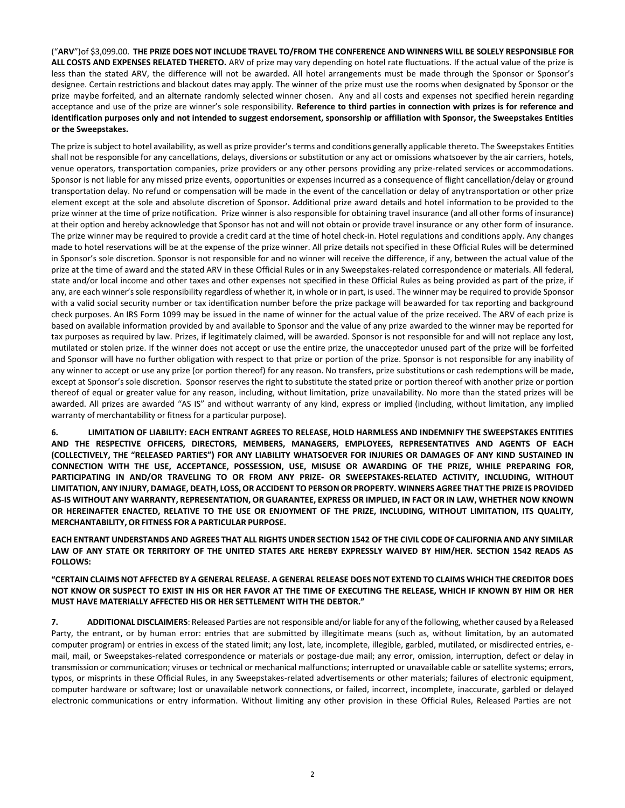("ARV") of \$3,099.00. THE PRIZE DOES NOT INCLUDE TRAVEL TO/FROM THE CONFERENCE AND WINNERS WILL BE SOLELY RESPONSIBLE FOR **ALL COSTS AND EXPENSES RELATED THERETO.** ARV of prize may vary depending on hotel rate fluctuations. If the actual value of the prize is less than the stated ARV, the difference will not be awarded. All hotel arrangements must be made through the Sponsor or Sponsor's designee. Certain restrictions and blackout dates may apply. The winner of the prize must use the rooms when designated by Sponsor or the prize maybe forfeited, and an alternate randomly selected winner chosen. Any and all costs and expenses not specified herein regarding acceptance and use of the prize are winner's sole responsibility. **Reference to third parties in connection with prizes is for reference and identification purposes only and not intended to suggest endorsement, sponsorship or affiliation with Sponsor, the Sweepstakes Entities or the Sweepstakes.**

The prize is subject to hotel availability, as well as prize provider's terms and conditions generally applicable thereto. The Sweepstakes Entities shall not be responsible for any cancellations, delays, diversions or substitution or any act or omissions whatsoever by the air carriers, hotels, venue operators, transportation companies, prize providers or any other persons providing any prize-related services or accommodations. Sponsor is not liable for any missed prize events, opportunities or expenses incurred as a consequence of flight cancellation/delay or ground transportation delay. No refund or compensation will be made in the event of the cancellation or delay of anytransportation or other prize element except at the sole and absolute discretion of Sponsor. Additional prize award details and hotel information to be provided to the prize winner at the time of prize notification. Prize winner is also responsible for obtaining travel insurance (and all other forms of insurance) at their option and hereby acknowledge that Sponsor has not and will not obtain or provide travel insurance or any other form of insurance. The prize winner may be required to provide a credit card at the time of hotel check-in. Hotel regulations and conditions apply. Any changes made to hotel reservations will be at the expense of the prize winner. All prize details not specified in these Official Rules will be determined in Sponsor's sole discretion. Sponsor is not responsible for and no winner will receive the difference, if any, between the actual value of the prize at the time of award and the stated ARV in these Official Rules or in any Sweepstakes-related correspondence or materials. All federal, state and/or local income and other taxes and other expenses not specified in these Official Rules as being provided as part of the prize, if any, are each winner's sole responsibility regardless of whether it, in whole or in part, is used. The winner may be required to provide Sponsor with a valid social security number or tax identification number before the prize package will beawarded for tax reporting and background check purposes. An IRS Form 1099 may be issued in the name of winner for the actual value of the prize received. The ARV of each prize is based on available information provided by and available to Sponsor and the value of any prize awarded to the winner may be reported for tax purposes as required by law. Prizes, if legitimately claimed, will be awarded. Sponsor is not responsible for and will not replace any lost, mutilated or stolen prize. If the winner does not accept or use the entire prize, the unacceptedor unused part of the prize will be forfeited and Sponsor will have no further obligation with respect to that prize or portion of the prize. Sponsor is not responsible for any inability of any winner to accept or use any prize (or portion thereof) for any reason. No transfers, prize substitutions or cash redemptions will be made, except at Sponsor's sole discretion. Sponsor reserves the right to substitute the stated prize or portion thereof with another prize or portion thereof of equal or greater value for any reason, including, without limitation, prize unavailability. No more than the stated prizes will be awarded. All prizes are awarded "AS IS" and without warranty of any kind, express or implied (including, without limitation, any implied warranty of merchantability or fitness for a particular purpose).

**6. LIMITATION OF LIABILITY: EACH ENTRANT AGREES TO RELEASE, HOLD HARMLESS AND INDEMNIFY THE SWEEPSTAKES ENTITIES AND THE RESPECTIVE OFFICERS, DIRECTORS, MEMBERS, MANAGERS, EMPLOYEES, REPRESENTATIVES AND AGENTS OF EACH (COLLECTIVELY, THE "RELEASED PARTIES") FOR ANY LIABILITY WHATSOEVER FOR INJURIES OR DAMAGES OF ANY KIND SUSTAINED IN CONNECTION WITH THE USE, ACCEPTANCE, POSSESSION, USE, MISUSE OR AWARDING OF THE PRIZE, WHILE PREPARING FOR, PARTICIPATING IN AND/OR TRAVELING TO OR FROM ANY PRIZE- OR SWEEPSTAKES-RELATED ACTIVITY, INCLUDING, WITHOUT LIMITATION, ANY INJURY, DAMAGE, DEATH, LOSS, OR ACCIDENT TO PERSON OR PROPERTY. WINNERS AGREE THAT THE PRIZE IS PROVIDED AS-IS WITHOUT ANY WARRANTY, REPRESENTATION, OR GUARANTEE, EXPRESS OR IMPLIED, IN FACT OR IN LAW, WHETHER NOW KNOWN OR HEREINAFTER ENACTED, RELATIVE TO THE USE OR ENJOYMENT OF THE PRIZE, INCLUDING, WITHOUT LIMITATION, ITS QUALITY, MERCHANTABILITY, OR FITNESS FOR A PARTICULAR PURPOSE.**

EACH ENTRANT UNDERSTANDS AND AGREES THAT ALL RIGHTS UNDER SECTION 1542 OF THE CIVIL CODE OF CALIFORNIA AND ANY SIMILAR **LAW OF ANY STATE OR TERRITORY OF THE UNITED STATES ARE HEREBY EXPRESSLY WAIVED BY HIM/HER. SECTION 1542 READS AS FOLLOWS:**

**"CERTAIN CLAIMS NOT AFFECTED BY A GENERAL RELEASE. A GENERAL RELEASE DOES NOT EXTEND TO CLAIMS WHICH THE CREDITOR DOES NOT KNOW OR SUSPECT TO EXIST IN HIS OR HER FAVOR AT THE TIME OF EXECUTING THE RELEASE, WHICH IF KNOWN BY HIM OR HER MUST HAVE MATERIALLY AFFECTED HIS OR HER SETTLEMENT WITH THE DEBTOR."**

**7. ADDITIONAL DISCLAIMERS**: Released Parties are notresponsible and/orliable for any of the following, whether caused by a Released Party, the entrant, or by human error: entries that are submitted by illegitimate means (such as, without limitation, by an automated computer program) or entries in excess of the stated limit; any lost, late, incomplete, illegible, garbled, mutilated, or misdirected entries, email, mail, or Sweepstakes-related correspondence or materials or postage-due mail; any error, omission, interruption, defect or delay in transmission or communication; viruses or technical or mechanical malfunctions; interrupted or unavailable cable or satellite systems; errors, typos, or misprints in these Official Rules, in any Sweepstakes-related advertisements or other materials; failures of electronic equipment, computer hardware or software; lost or unavailable network connections, or failed, incorrect, incomplete, inaccurate, garbled or delayed electronic communications or entry information. Without limiting any other provision in these Official Rules, Released Parties are not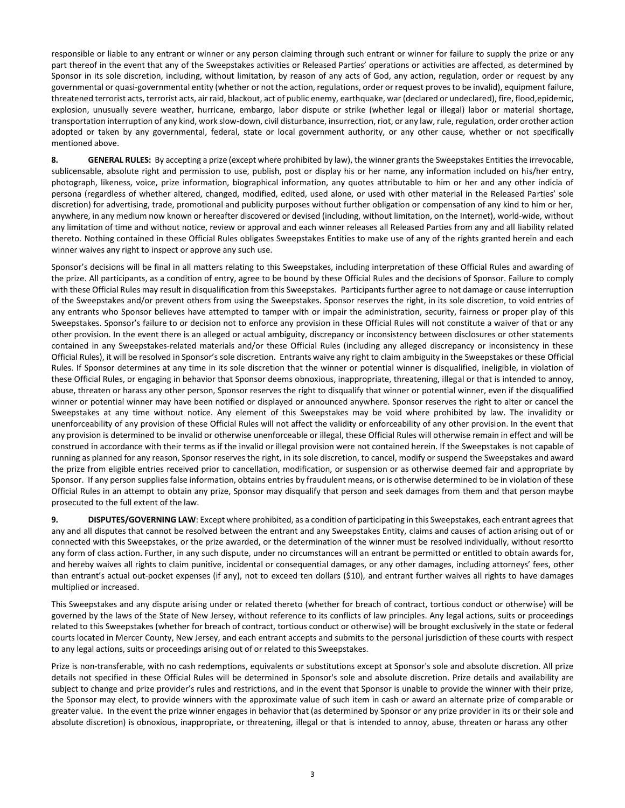responsible or liable to any entrant or winner or any person claiming through such entrant or winner for failure to supply the prize or any part thereof in the event that any of the Sweepstakes activities or Released Parties' operations or activities are affected, as determined by Sponsor in its sole discretion, including, without limitation, by reason of any acts of God, any action, regulation, order or request by any governmental or quasi-governmental entity (whether or not the action, regulations, order or request proves to be invalid), equipment failure, threatened terrorist acts, terrorist acts, air raid, blackout, act of public enemy, earthquake, war (declared or undeclared), fire, flood,epidemic, explosion, unusually severe weather, hurricane, embargo, labor dispute or strike (whether legal or illegal) labor or material shortage, transportation interruption of any kind, work slow-down, civil disturbance, insurrection, riot, or any law, rule, regulation, order orother action adopted or taken by any governmental, federal, state or local government authority, or any other cause, whether or not specifically mentioned above.

8. **GENERAL RULES:** By accepting a prize (except where prohibited by law), the winner grants the Sweepstakes Entities the irrevocable, sublicensable, absolute right and permission to use, publish, post or display his or her name, any information included on his/her entry, photograph, likeness, voice, prize information, biographical information, any quotes attributable to him or her and any other indicia of persona (regardless of whether altered, changed, modified, edited, used alone, or used with other material in the Released Parties' sole discretion) for advertising, trade, promotional and publicity purposes without further obligation or compensation of any kind to him or her, anywhere, in any medium now known or hereafter discovered or devised (including, without limitation, on the Internet), world-wide, without any limitation of time and without notice, review or approval and each winner releases all Released Parties from any and all liability related thereto. Nothing contained in these Official Rules obligates Sweepstakes Entities to make use of any of the rights granted herein and each winner waives any right to inspect or approve any such use.

Sponsor's decisions will be final in all matters relating to this Sweepstakes, including interpretation of these Official Rules and awarding of the prize. All participants, as a condition of entry, agree to be bound by these Official Rules and the decisions of Sponsor. Failure to comply with these Official Rules may result in disqualification from this Sweepstakes. Participants further agree to not damage or cause interruption of the Sweepstakes and/or prevent others from using the Sweepstakes. Sponsor reserves the right, in its sole discretion, to void entries of any entrants who Sponsor believes have attempted to tamper with or impair the administration, security, fairness or proper play of this Sweepstakes. Sponsor's failure to or decision not to enforce any provision in these Official Rules will not constitute a waiver of that or any other provision. In the event there is an alleged or actual ambiguity, discrepancy or inconsistency between disclosures or other statements contained in any Sweepstakes-related materials and/or these Official Rules (including any alleged discrepancy or inconsistency in these Official Rules), it will be resolved in Sponsor's sole discretion. Entrants waive any right to claim ambiguity in the Sweepstakes or these Official Rules. If Sponsor determines at any time in its sole discretion that the winner or potential winner is disqualified, ineligible, in violation of these Official Rules, or engaging in behavior that Sponsor deems obnoxious, inappropriate, threatening, illegal or that is intended to annoy, abuse, threaten or harass any other person, Sponsor reserves the right to disqualify that winner or potential winner, even if the disqualified winner or potential winner may have been notified or displayed or announced anywhere. Sponsor reserves the right to alter or cancel the Sweepstakes at any time without notice. Any element of this Sweepstakes may be void where prohibited by law. The invalidity or unenforceability of any provision of these Official Rules will not affect the validity or enforceability of any other provision. In the event that any provision is determined to be invalid or otherwise unenforceable or illegal, these Official Rules will otherwise remain in effect and will be construed in accordance with their terms as if the invalid or illegal provision were not contained herein. If the Sweepstakes is not capable of running as planned for any reason, Sponsor reserves the right, in its sole discretion, to cancel, modify or suspend the Sweepstakes and award the prize from eligible entries received prior to cancellation, modification, or suspension or as otherwise deemed fair and appropriate by Sponsor. If any person supplies false information, obtains entries by fraudulent means, or is otherwise determined to be in violation of these Official Rules in an attempt to obtain any prize, Sponsor may disqualify that person and seek damages from them and that person maybe prosecuted to the full extent of the law.

**9. DISPUTES/GOVERNING LAW**: Except where prohibited, as a condition of participating in this Sweepstakes, each entrant agrees that any and all disputes that cannot be resolved between the entrant and any Sweepstakes Entity, claims and causes of action arising out of or connected with this Sweepstakes, or the prize awarded, or the determination of the winner must be resolved individually, without resortto any form of class action. Further, in any such dispute, under no circumstances will an entrant be permitted or entitled to obtain awards for, and hereby waives all rights to claim punitive, incidental or consequential damages, or any other damages, including attorneys' fees, other than entrant's actual out-pocket expenses (if any), not to exceed ten dollars (\$10), and entrant further waives all rights to have damages multiplied or increased.

This Sweepstakes and any dispute arising under or related thereto (whether for breach of contract, tortious conduct or otherwise) will be governed by the laws of the State of New Jersey, without reference to its conflicts of law principles. Any legal actions, suits or proceedings related to this Sweepstakes (whether for breach of contract, tortious conduct or otherwise) will be brought exclusively in the state or federal courts located in Mercer County, New Jersey, and each entrant accepts and submits to the personal jurisdiction of these courts with respect to any legal actions, suits or proceedings arising out of or related to this Sweepstakes.

Prize is non-transferable, with no cash redemptions, equivalents or substitutions except at Sponsor's sole and absolute discretion. All prize details not specified in these Official Rules will be determined in Sponsor's sole and absolute discretion. Prize details and availability are subject to change and prize provider's rules and restrictions, and in the event that Sponsor is unable to provide the winner with their prize, the Sponsor may elect, to provide winners with the approximate value of such item in cash or award an alternate prize of comparable or greater value. In the event the prize winner engages in behavior that (as determined by Sponsor or any prize provider in its or their sole and absolute discretion) is obnoxious, inappropriate, or threatening, illegal or that is intended to annoy, abuse, threaten or harass any other